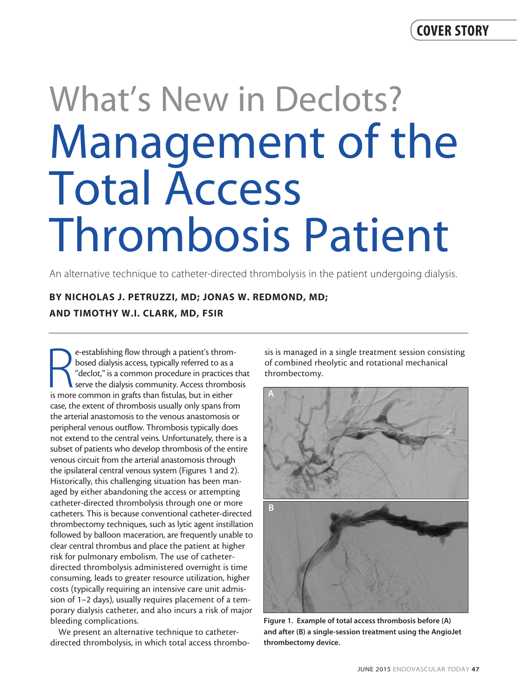# What's New in Declots? Management of the Total Access Thrombosis Patient

An alternative technique to catheter-directed thrombolysis in the patient undergoing dialysis.

# BY NICHOLAS J. PETRUZZI, MD; JONAS W. REDMOND, MD; AND TIMOTHY W.I. CLARK, MD, FSIR

e-establishing flow through a patient's throm-<br>bosed dialysis access, typically referred to as a<br>"declot," is a common procedure in practices<br>serve the dialysis community. Access thrombe<br>is more common in grafts than fistu e-establishing flow through a patient's thrombosed dialysis access, typically referred to as a "declot," is a common procedure in practices that serve the dialysis community. Access thrombosis case, the extent of thrombosis usually only spans from the arterial anastomosis to the venous anastomosis or peripheral venous outflow. Thrombosis typically does not extend to the central veins. Unfortunately, there is a subset of patients who develop thrombosis of the entire venous circuit from the arterial anastomosis through the ipsilateral central venous system (Figures 1 and 2). Historically, this challenging situation has been managed by either abandoning the access or attempting catheter-directed thrombolysis through one or more catheters. This is because conventional catheter-directed thrombectomy techniques, such as lytic agent instillation followed by balloon maceration, are frequently unable to clear central thrombus and place the patient at higher risk for pulmonary embolism. The use of catheterdirected thrombolysis administered overnight is time consuming, leads to greater resource utilization, higher costs (typically requiring an intensive care unit admission of 1–2 days), usually requires placement of a temporary dialysis catheter, and also incurs a risk of major bleeding complications.

We present an alternative technique to catheterdirected thrombolysis, in which total access thrombosis is managed in a single treatment session consisting of combined rheolytic and rotational mechanical thrombectomy.



Figure 1. Example of total access thrombosis before (A) and after (B) a single-session treatment using the AngioJet thrombectomy device.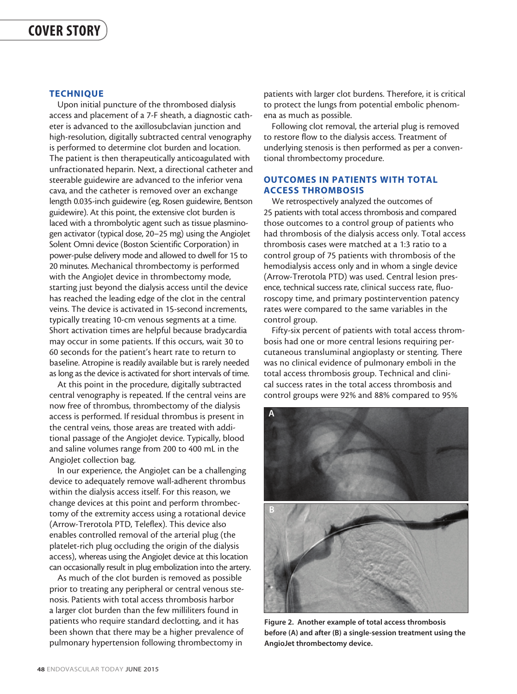## **TECHNIQUE**

Upon initial puncture of the thrombosed dialysis access and placement of a 7-F sheath, a diagnostic catheter is advanced to the axillosubclavian junction and high-resolution, digitally subtracted central venography is performed to determine clot burden and location. The patient is then therapeutically anticoagulated with unfractionated heparin. Next, a directional catheter and steerable guidewire are advanced to the inferior vena cava, and the catheter is removed over an exchange length 0.035-inch guidewire (eg, Rosen guidewire, Bentson guidewire). At this point, the extensive clot burden is laced with a thrombolytic agent such as tissue plasminogen activator (typical dose, 20–25 mg) using the AngioJet Solent Omni device (Boston Scientific Corporation) in power-pulse delivery mode and allowed to dwell for 15 to 20 minutes. Mechanical thrombectomy is performed with the AngioJet device in thrombectomy mode, starting just beyond the dialysis access until the device has reached the leading edge of the clot in the central veins. The device is activated in 15-second increments, typically treating 10-cm venous segments at a time. Short activation times are helpful because bradycardia may occur in some patients. If this occurs, wait 30 to 60 seconds for the patient's heart rate to return to baseline. Atropine is readily available but is rarely needed as long as the device is activated for short intervals of time.

At this point in the procedure, digitally subtracted central venography is repeated. If the central veins are now free of thrombus, thrombectomy of the dialysis access is performed. If residual thrombus is present in the central veins, those areas are treated with additional passage of the AngioJet device. Typically, blood and saline volumes range from 200 to 400 mL in the AngioJet collection bag.

In our experience, the AngioJet can be a challenging device to adequately remove wall-adherent thrombus within the dialysis access itself. For this reason, we change devices at this point and perform thrombectomy of the extremity access using a rotational device (Arrow-Trerotola PTD, Teleflex). This device also enables controlled removal of the arterial plug (the platelet-rich plug occluding the origin of the dialysis access), whereas using the AngioJet device at this location can occasionally result in plug embolization into the artery.

As much of the clot burden is removed as possible prior to treating any peripheral or central venous stenosis. Patients with total access thrombosis harbor a larger clot burden than the few milliliters found in patients who require standard declotting, and it has been shown that there may be a higher prevalence of pulmonary hypertension following thrombectomy in

patients with larger clot burdens. Therefore, it is critical to protect the lungs from potential embolic phenomena as much as possible.

Following clot removal, the arterial plug is removed to restore flow to the dialysis access. Treatment of underlying stenosis is then performed as per a conventional thrombectomy procedure.

# OUTCOMES IN PATIENTS WITH TOTAL ACCESS THROMBOSIS

We retrospectively analyzed the outcomes of 25 patients with total access thrombosis and compared those outcomes to a control group of patients who had thrombosis of the dialysis access only. Total access thrombosis cases were matched at a 1:3 ratio to a control group of 75 patients with thrombosis of the hemodialysis access only and in whom a single device (Arrow-Trerotola PTD) was used. Central lesion presence, technical success rate, clinical success rate, fluoroscopy time, and primary postintervention patency rates were compared to the same variables in the control group.

Fifty-six percent of patients with total access thrombosis had one or more central lesions requiring percutaneous transluminal angioplasty or stenting. There was no clinical evidence of pulmonary emboli in the total access thrombosis group. Technical and clinical success rates in the total access thrombosis and control groups were 92% and 88% compared to 95%



Figure 2. Another example of total access thrombosis before (A) and after (B) a single-session treatment using the AngioJet thrombectomy device.